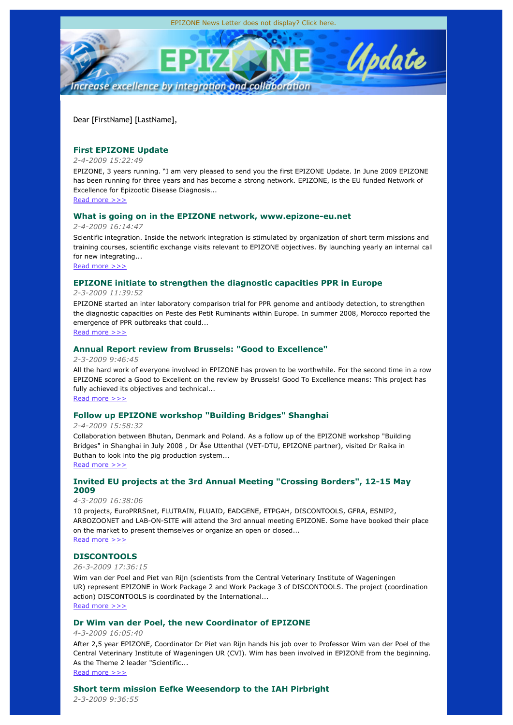

Dear [FirstName] [LastName],

# **First EPIZONE Update**

### *2-4-2009 15:22:49*

EPIZONE, 3 years running. "I am very pleased to send you the first EPIZONE Update. In June 2009 EPIZONE has been running for three years and has become a strong network. EPIZONE, is the EU funded Network of Excellence for Epizootic Disease Diagnosis...

Read more >>>

## **What is going on in the EPIZONE network, www.epizone-eu.net**

*2-4-2009 16:14:47*

Scientific integration. Inside the network integration is stimulated by organization of short term missions and training courses, scientific exchange visits relevant to EPIZONE objectives. By launching yearly an internal call for new integrating...

Read more >>>

# **EPIZONE initiate to strengthen the diagnostic capacities PPR in Europe**

*2-3-2009 11:39:52*

EPIZONE started an inter laboratory comparison trial for PPR genome and antibody detection, to strengthen the diagnostic capacities on Peste des Petit Ruminants within Europe. In summer 2008, Morocco reported the emergence of PPR outbreaks that could...

Read more >>>

# **Annual Report review from Brussels: "Good to Excellence"**

*2-3-2009 9:46:45*

All the hard work of everyone involved in EPIZONE has proven to be worthwhile. For the second time in a row EPIZONE scored a Good to Excellent on the review by Brussels! Good To Excellence means: This project has fully achieved its objectives and technical...

Read more >>>

# **Follow up EPIZONE workshop "Building Bridges" Shanghai**

*2-4-2009 15:58:32*

Collaboration between Bhutan, Denmark and Poland. As a follow up of the EPIZONE workshop "Building Bridges" in Shanghai in July 2008 , Dr Åse Uttenthal (VET-DTU, EPIZONE partner), visited Dr Raika in Buthan to look into the pig production system...

Read more >>>

# **Invited EU projects at the 3rd Annual Meeting "Crossing Borders", 12-15 May 2009**

### *4-3-2009 16:38:06*

10 projects, EuroPRRSnet, FLUTRAIN, FLUAID, EADGENE, ETPGAH, DISCONTOOLS, GFRA, ESNIP2, ARBOZOONET and LAB-ON-SITE will attend the 3rd annual meeting EPIZONE. Some have booked their place on the market to present themselves or organize an open or closed... Read more >>>

# **DISCONTOOLS**

*26-3-2009 17:36:15*

Wim van der Poel and Piet van Rijn (scientists from the Central Veterinary Institute of Wageningen UR) represent EPIZONE in Work Package 2 and Work Package 3 of DISCONTOOLS. The project (coordination action) DISCONTOOLS is coordinated by the International... Read more >>>

# **Dr Wim van der Poel, the new Coordinator of EPIZONE**

*4-3-2009 16:05:40*

After 2,5 year EPIZONE, Coordinator Dr Piet van Rijn hands his job over to Professor Wim van der Poel of the Central Veterinary Institute of Wageningen UR (CVI). Wim has been involved in EPIZONE from the beginning. As the Theme 2 leader "Scientific...

Read more >>>

# **Short term mission Eefke Weesendorp to the IAH Pirbright**

*2-3-2009 9:36:55*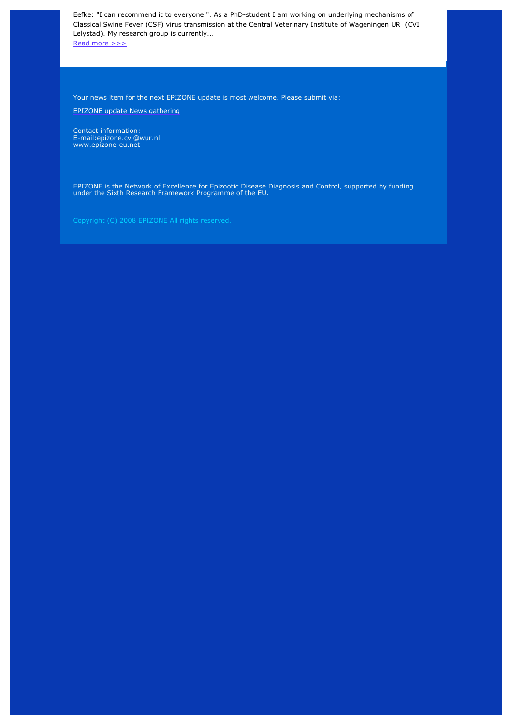Eefke: "I can recommend it to everyone ". As a PhD-student I am working on underlying mechanisms of Classical Swine Fever (CSF) virus transmission at the Central Veterinary Institute of Wageningen UR (CVI Lelystad). My research group is currently...

Read more >>>

Your news item for the next EPIZONE update is most welcome. Please submit via:

EPIZONE update News gathering

Contact information: E-mail:epizone.cvi@wur.nl www.epizone-eu.net

EPIZONE is the Network of Excellence for Epizootic Disease Diagnosis and Control, supported by funding under the Sixth Research Framework Programme of the EU.

Copyright (C) 2008 EPIZONE All rights reserved.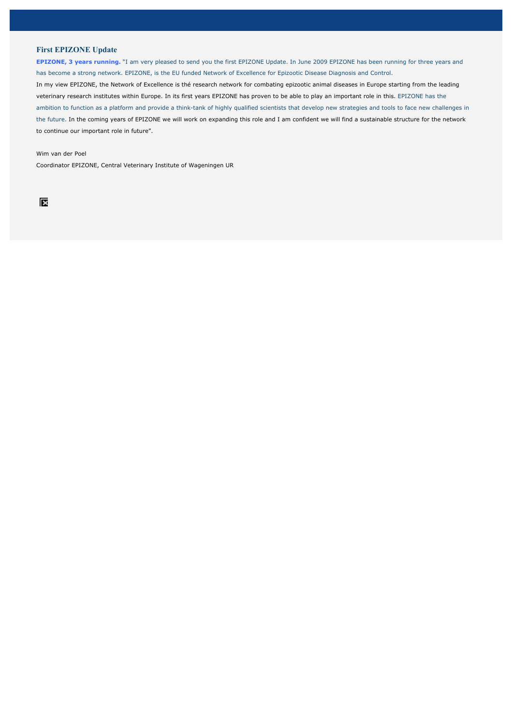### **First EPIZONE Update**

**EPIZONE, 3 years running.** "I am very pleased to send you the first EPIZONE Update. In June 2009 EPIZONE has been running for three years and has become a strong network. EPIZONE, is the EU funded Network of Excellence for Epizootic Disease Diagnosis and Control. In my view EPIZONE, the Network of Excellence is thé research network for combating epizootic animal diseases in Europe starting from the leading veterinary research institutes within Europe. In its first years EPIZONE has proven to be able to play an important role in this. EPIZONE has the ambition to function as a platform and provide a think-tank of highly qualified scientists that develop new strategies and tools to face new challenges in the future. In the coming years of EPIZONE we will work on expanding this role and I am confident we will find a sustainable structure for the network to continue our important role in future".

Wim van der Poel

Coordinator EPIZONE, Central Veterinary Institute of Wageningen UR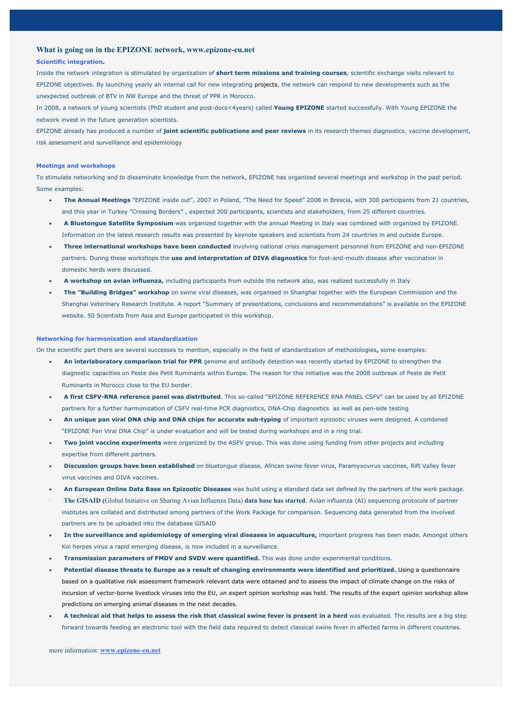### **What is going on in the EPIZONE network, www.epizone-eu.net**

#### **Scientific integration.**

Inside the network integration is stimulated by organization of **short term missions and training courses**, scientific exchange visits relevant to EPIZONE objectives. By launching yearly an internal call for new integrating projects, the network can respond to new developments such as the unexpected outbreak of BTV in NW Europe and the threat of PPR in Morocco.

In 2008, a network of young scientists (PhD student and post-docs<4years) called **Young EPIZONE** started successfully. With Young EPIZONE the network invest in the future generation scientists.

EPIZONE already has produced a number of **joint scientific publications and peer reviews** in its research themes diagnostics, vaccine development, risk assessment and surveillance and epidemiology

#### **Meetings and workshops**

To stimulate networking and to disseminate knowledge from the network, EPIZONE has organized several meetings and workshop in the past period. Some examples:

- x **The Annual Meetings** "EPIZONE inside out", 2007 in Poland, "The Need for Speed" 2008 in Brescia, with 300 participants from 21 countries, and this year in Turkey "Crossing Borders" , expected 300 participants, scientists and stakeholders, from 25 different countries.
- x **A Bluetongue Satellite Symposium** was organized together with the annual Meeting in Italy was combined with organized by EPIZONE. Information on the latest research results was presented by keynote speakers and scientists from 24 countries in and outside Europe.
- **Three international workshops have been conducted** involving national crisis management personnel from EPIZONE and non-EPIZONE partners. During these workshops the **use and interpretation of DIVA diagnostics** for foot-and-mouth disease after vaccination in domestic herds were discussed.
- x **A workshop on avian influenza,** including participants from outside the network also, was realized successfully in Italy
- x **The "Building Bridges" workshop** on swine viral diseases, was organised in Shanghai together with the European Commission and the Shanghai Veterinary Research Institute. A report "Summary of presentations, conclusions and recommendations" is available on the EPIZONE website. 50 Scientists from Asia and Europe participated in this workshop.

#### **Networking for harmonization and standardization**

On the scientific part there are several successes to mention, especially in the field of standardization of methodologies**,** some examples:

- x **An interlaboratory comparison trial for PPR** genome and antibody detection was recently started by EPIZONE to strengthen the diagnostic capacities on Peste des Petit Ruminants within Europe. The reason for this initiative was the 2008 outbreak of Peste de Petit Ruminants in Morocco close to the EU border.
- x **A first CSFV-RNA reference panel was distributed**. This so-called "EPIZONE REFERENCE RNA PANEL CSFV" can be used by all EPIZONE partners for a further harmonization of CSFV real-time PCR diagnostics, DNA-Chip diagnostics as well as pen-side testing
- x **An unique pan viral DNA chip and DNA chips for accurate sub-typing** of important epizootic viruses were designed. A combined "EPIZONE Pan Viral DNA Chip" is under evaluation and will be tested during workshops and in a ring trial.
- Two joint vaccine experiments were organized by the ASFV group. This was done using funding from other projects and including expertise from different partners.
- x **Discussion groups have been established** on bluetongue disease, African swine fever virus, Paramyxovirus vaccines, Rift Valley fever virus vaccines and DIVA vaccines.
- x **An European Online Data Base on Epizootic Diseases** was build using a standard data set defined by the partners of the work package.
- · **The GISAID (**Global Initiative on Sharing Avian Influenza Data) **data base has started**. Avian influenza (AI) sequencing protocols of partner institutes are collated and distributed among partners of the Work Package for comparison. Sequencing data generated from the involved partners are to be uploaded into the database GISAID
- **In the surveillance and epidemiology of emerging viral diseases in aquaculture, important progress has been made. Amongst others** Koi herpes virus a rapid emerging disease, is now included in a surveillance.
- x **Transmission parameters of FMDV and SVDV were quantified.** This was done under experimental conditions.
- Potential disease threats to Europe as a result of changing environments were identified and prioritized. Using a questionnaire based on a qualitative risk assessment framework relevant data were obtained and to assess the impact of climate change on the risks of incursion of vector-borne livestock viruses into the EU, an expert opinion workshop was held. The results of the expert opinion workshop allow predictions on emerging animal diseases in the next decades.
- A technical aid that helps to assess the risk that classical swine fever is present in a herd was evaluated. The results are a big step forward towards feeding an electronic tool with the field data required to detect classical swine fever in affected farms in different countries.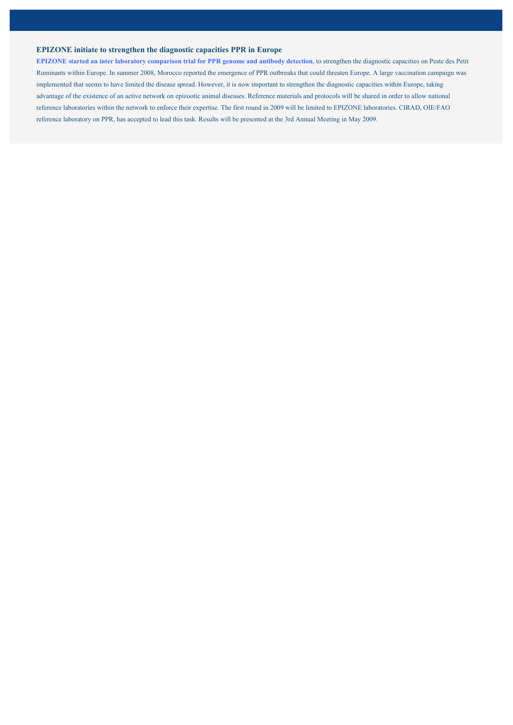### **EPIZONE initiate to strengthen the diagnostic capacities PPR in Europe**

**EPIZONE started an inter laboratory comparison trial for PPR genome and antibody detection**, to strengthen the diagnostic capacities on Peste des Petit Ruminants within Europe. In summer 2008, Morocco reported the emergence of PPR outbreaks that could threaten Europe. A large vaccination campaign was implemented that seems to have limited the disease spread. However, it is now important to strengthen the diagnostic capacities within Europe, taking advantage of the existence of an active network on epizootic animal diseases. Reference materials and protocols will be shared in order to allow national reference laboratories within the network to enforce their expertise. The first round in 2009 will be limited to EPIZONE laboratories. CIRAD, OIE/FAO reference laboratory on PPR, has accepted to lead this task. Results will be presented at the 3rd Annual Meeting in May 2009.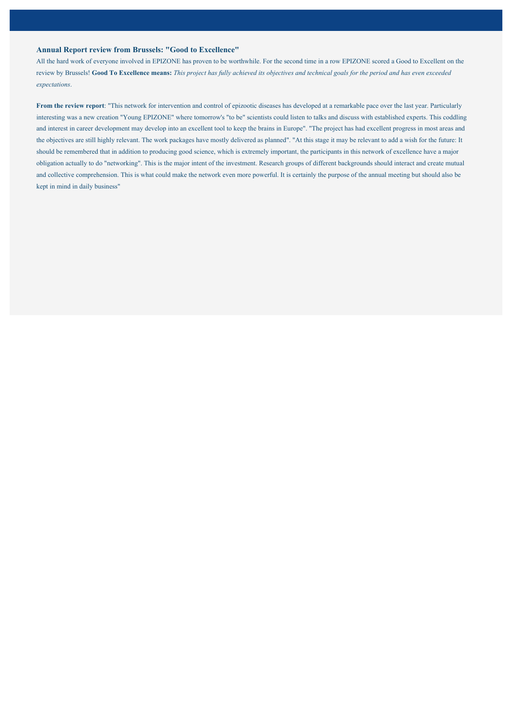### **Annual Report review from Brussels: "Good to Excellence"**

All the hard work of everyone involved in EPIZONE has proven to be worthwhile. For the second time in a row EPIZONE scored a Good to Excellent on the review by Brussels! **Good To Excellence means:** *This project has fully achieved its objectives and technical goals for the period and has even exceeded expectations*.

**From the review report**: "This network for intervention and control of epizootic diseases has developed at a remarkable pace over the last year. Particularly interesting was a new creation "Young EPIZONE" where tomorrow's "to be" scientists could listen to talks and discuss with established experts. This coddling and interest in career development may develop into an excellent tool to keep the brains in Europe". "The project has had excellent progress in most areas and the objectives are still highly relevant. The work packages have mostly delivered as planned". "At this stage it may be relevant to add a wish for the future: It should be remembered that in addition to producing good science, which is extremely important, the participants in this network of excellence have a major obligation actually to do "networking". This is the major intent of the investment. Research groups of different backgrounds should interact and create mutual and collective comprehension. This is what could make the network even more powerful. It is certainly the purpose of the annual meeting but should also be kept in mind in daily business"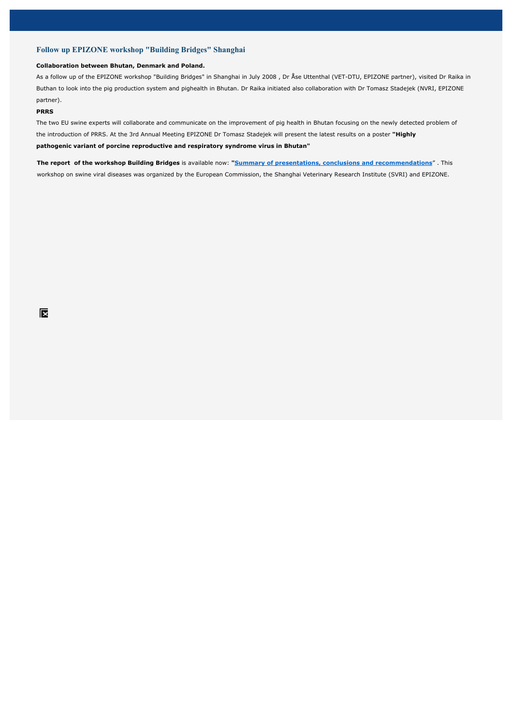### **Follow up EPIZONE workshop "Building Bridges" Shanghai**

#### **Collaboration between Bhutan, Denmark and Poland.**

As a follow up of the EPIZONE workshop "Building Bridges" in Shanghai in July 2008 , Dr Åse Uttenthal (VET-DTU, EPIZONE partner), visited Dr Raika in Buthan to look into the pig production system and pighealth in Bhutan. Dr Raika initiated also collaboration with Dr Tomasz Stadejek (NVRI, EPIZONE partner).

#### **PRRS**

The two EU swine experts will collaborate and communicate on the improvement of pig health in Bhutan focusing on the newly detected problem of the introduction of PRRS. At the 3rd Annual Meeting EPIZONE Dr Tomasz Stadejek will present the latest results on a poster **"Highly pathogenic variant of porcine reproductive and respiratory syndrome virus in Bhutan"**

**The report of the workshop Building Bridges** is available now: **"Summary of presentations, conclusions and recommendations**" . This workshop on swine viral diseases was organized by the European Commission, the Shanghai Veterinary Research Institute (SVRI) and EPIZONE.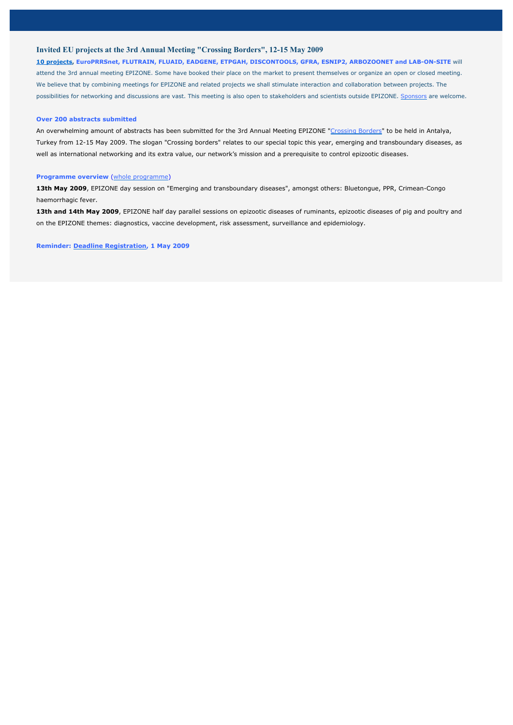### **Invited EU projects at the 3rd Annual Meeting "Crossing Borders", 12-15 May 2009**

**10 projects, EuroPRRSnet, FLUTRAIN, FLUAID, EADGENE, ETPGAH, DISCONTOOLS, GFRA, ESNIP2, ARBOZOONET and LAB-ON-SITE** will attend the 3rd annual meeting EPIZONE. Some have booked their place on the market to present themselves or organize an open or closed meeting. We believe that by combining meetings for EPIZONE and related projects we shall stimulate interaction and collaboration between projects. The possibilities for networking and discussions are vast. This meeting is also open to stakeholders and scientists outside EPIZONE. Sponsors are welcome.

#### **Over 200 abstracts submitted**

An overwhelming amount of abstracts has been submitted for the 3rd Annual Meeting EPIZONE "Crossing Borders" to be held in Antalya, Turkey from 12-15 May 2009. The slogan "Crossing borders" relates to our special topic this year, emerging and transboundary diseases, as well as international networking and its extra value, our network's mission and a prerequisite to control epizootic diseases.

#### **Programme overview** (whole programme)

**13th May 2009**, EPIZONE day session on "Emerging and transboundary diseases", amongst others: Bluetongue, PPR, Crimean-Congo haemorrhagic fever.

13th and 14th May 2009, EPIZONE half day parallel sessions on epizootic diseases of ruminants, epizootic diseases of pig and poultry and on the EPIZONE themes: diagnostics, vaccine development, risk assessment, surveillance and epidemiology.

#### **Reminder: Deadline Registration, 1 May 2009**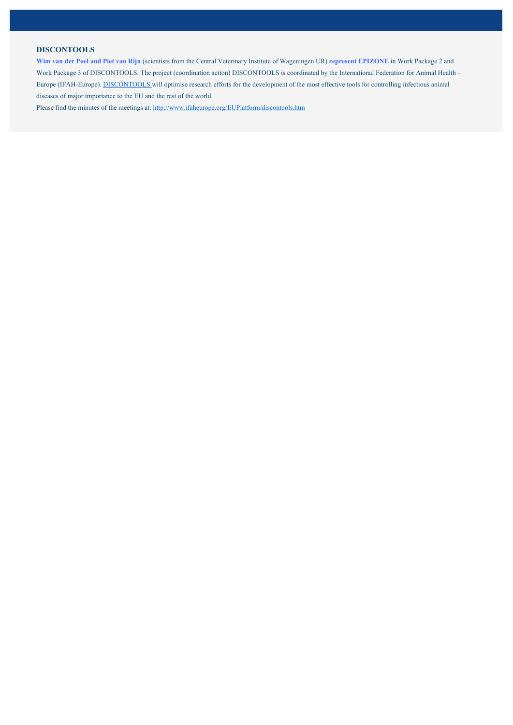### **DISCONTOOLS**

**Wim van der Poel and Piet van Rijn** (scientists from the Central Veterinary Institute of Wageningen UR) **represent EPIZONE** in Work Package 2 and Work Package 3 of DISCONTOOLS. The project (coordination action) DISCONTOOLS is coordinated by the International Federation for Animal Health – Europe (IFAH-Europe). DISCONTOOLS will optimise research efforts for the development of the most effective tools for controlling infectious animal diseases of major importance to the EU and the rest of the world.

Please find the minutes of the meetings at: http://www.ifaheurope.org/EUPlatform/discontools.htm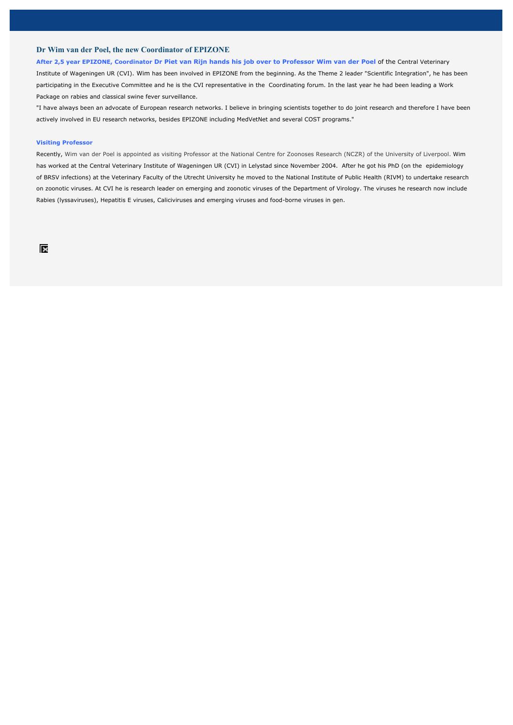### **Dr Wim van der Poel, the new Coordinator of EPIZONE**

#### **After 2,5 year EPIZONE, Coordinator Dr Piet van Rijn hands his job over to Professor Wim van der Poel** of the Central Veterinary

Institute of Wageningen UR (CVI). Wim has been involved in EPIZONE from the beginning. As the Theme 2 leader "Scientific Integration", he has been participating in the Executive Committee and he is the CVI representative in the Coordinating forum. In the last year he had been leading a Work Package on rabies and classical swine fever surveillance.

"I have always been an advocate of European research networks. I believe in bringing scientists together to do joint research and therefore I have been actively involved in EU research networks, besides EPIZONE including MedVetNet and several COST programs."

#### **Visiting Professor**

Recently, Wim van der Poel is appointed as visiting Professor at the National Centre for Zoonoses Research (NCZR) of the University of Liverpool. Wim has worked at the Central Veterinary Institute of Wageningen UR (CVI) in Lelystad since November 2004. After he got his PhD (on the epidemiology of BRSV infections) at the Veterinary Faculty of the Utrecht University he moved to the National Institute of Public Health (RIVM) to undertake research on zoonotic viruses. At CVI he is research leader on emerging and zoonotic viruses of the Department of Virology. The viruses he research now include Rabies (lyssaviruses), Hepatitis E viruses, Caliciviruses and emerging viruses and food-borne viruses in gen.